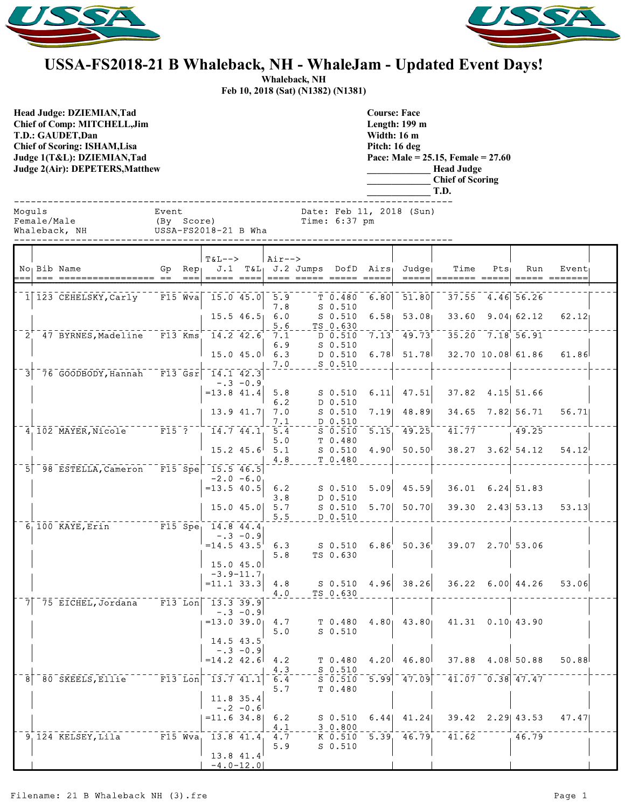



## **USSA-FS2018-21 B Whaleback, NH - WhaleJam - Updated Event Days!**

**Whaleback, NH Feb 10, 2018 (Sat) (N1382) (N1381)**

|        |             | Head Judge: DZIEMIAN,Tad<br>Chief of Comp: MITCHELL, Jim<br>T.D.: GAUDET,Dan<br><b>Chief of Scoring: ISHAM, Lisa</b><br>Judge 1(T&L): DZIEMIAN,Tad<br>Judge 2(Air): DEPETERS, Matthew |         |                                    |                |     |                     | <b>Course: Face</b><br>Width: $16 \text{ m}$<br>Pitch: 16 deg | Length: 199 m                          | Pace: Male = $25.15$ , Female = $27.60$<br><b>Head Judge</b><br><b>Chief of Scoring</b><br>T.D.        |         |     |       |  |
|--------|-------------|---------------------------------------------------------------------------------------------------------------------------------------------------------------------------------------|---------|------------------------------------|----------------|-----|---------------------|---------------------------------------------------------------|----------------------------------------|--------------------------------------------------------------------------------------------------------|---------|-----|-------|--|
| Moquls | Female/Male | Whaleback, NH                                                                                                                                                                         | Event   | (By Score)<br>USSA-FS2018-21 B Wha |                |     | Time: 6:37 pm       |                                                               | Date: Feb 11, 2018 (Sun)               |                                                                                                        |         |     |       |  |
|        |             | No Bib Name                                                                                                                                                                           | Gp      | $T&L-->$                           | $\vert$ Air--> |     |                     |                                                               | Rep. J.1 T&L J.2 Jumps DofD Airs Judge | Time                                                                                                   | $Pts_1$ | Run | Event |  |
|        |             | $1 123$ CEHELSKY, Carly                                                                                                                                                               | F15 Wva | $15.0$ $45.0$                      | 7.8            |     | $S_0.510$           |                                                               | 5.9 $T$ 0.480 6.80 51.80               | $37.55$ 4.46 56.26                                                                                     |         |     |       |  |
|        |             | $2^{\circ}$ , $47$ , pypyma, $M_{\odot}$ , $1.3$ , $1.3$ , $1.5$                                                                                                                      |         | $15.5$ 46.5                        | 5.6<br>$-1$    | 6.0 | S 0.510<br>TS 0.630 |                                                               |                                        | $6.58$ $53.08$ $33.60$ $9.04$ $62.12$<br>15 TA TEAR THE 15 THAT TAR THAT THREE ARE THE 15 THAT EAT AAT |         |     | 62.12 |  |

| Moquls | Female/Male<br>Whaleback, NH USSA-FS2018-21 B Wha                  | Event |                     | (By Score)                           |             |                        |                        | Time: 6:37 pm                   | Date: Feb 11, 2018 (Sun)                                               |                                       |               |                          |                                                                                                                                                                                                                                                                                                                                                                                                                                     |
|--------|--------------------------------------------------------------------|-------|---------------------|--------------------------------------|-------------|------------------------|------------------------|---------------------------------|------------------------------------------------------------------------|---------------------------------------|---------------|--------------------------|-------------------------------------------------------------------------------------------------------------------------------------------------------------------------------------------------------------------------------------------------------------------------------------------------------------------------------------------------------------------------------------------------------------------------------------|
|        |                                                                    |       |                     |                                      |             |                        |                        |                                 |                                                                        |                                       |               |                          |                                                                                                                                                                                                                                                                                                                                                                                                                                     |
|        | No Bib Name                                                        |       |                     | <b>T&amp;L--&gt;</b>                 |             | $\vert$ Air-->         |                        |                                 | $G$ p Rep $_ $ J.1 T&L $_ $ J.2 Jumps DofD Airs $_ $ Judge $_ $        | Time                                  | $Pts_{\perp}$ | Run                      | Event                                                                                                                                                                                                                                                                                                                                                                                                                               |
|        |                                                                    |       | $=$ $=$ $=$ $\vert$ | ===== ====                           |             |                        | ==== ===== ===== ===== |                                 | =====                                                                  | ======= =====                         |               |                          | $\begin{array}{cccccc} \texttt{m} & \texttt{m} & \texttt{m} & \texttt{m} & \texttt{m} & \texttt{m} & \texttt{m} & \texttt{m} & \texttt{m} & \texttt{m} & \texttt{m} & \texttt{m} & \texttt{m} & \texttt{m} & \texttt{m} & \texttt{m} & \texttt{m} & \texttt{m} & \texttt{m} & \texttt{m} & \texttt{m} & \texttt{m} & \texttt{m} & \texttt{m} & \texttt{m} & \texttt{m} & \texttt{m} & \texttt{m} & \texttt{m} & \texttt{m} & \text$ |
|        | $1$ 123 CEHELSKY, Carly F15 Wva 15.0 45.0 5.9                      |       |                     |                                      |             | 7.8                    |                        | T <sub>0.480</sub><br>$S$ 0.510 | $\boxed{6.80}$ $\boxed{51.80}$ $\boxed{1}$                             |                                       |               | 37.55 4.46 56.26         |                                                                                                                                                                                                                                                                                                                                                                                                                                     |
|        |                                                                    |       |                     | $15.5$ 46.5                          |             | 6.0<br>5.6             |                        | $S$ $0.510$<br>TS 0.630         | $6.58$ $53.08$                                                         |                                       |               | $33.60$ $9.04$ 62.12     | 62.12                                                                                                                                                                                                                                                                                                                                                                                                                               |
|        | 2 47 BYRNES, Madeline F13 Kms 14.2 42.6                            |       |                     |                                      |             | 7.1<br>6.9             |                        | $S$ 0.510                       | $\overline{D}$ $\overline{0.510}$ $\overline{7.13}$ $\overline{49.73}$ |                                       |               | $35.20 - 7.18$ 56.91     |                                                                                                                                                                                                                                                                                                                                                                                                                                     |
|        |                                                                    |       |                     |                                      |             | $15.0$ 45.0 6.3<br>7.0 |                        | $S_0.510$                       | S 0.510<br>D 0.510 6.78 51.78                                          |                                       |               | 32.70 10.08 61.86        | 61.86                                                                                                                                                                                                                                                                                                                                                                                                                               |
|        | 3 76 GOODBODY, Hannah F13 Gsr 14.1 42.3                            |       |                     |                                      | $-.3 - 0.9$ |                        |                        |                                 |                                                                        |                                       |               |                          |                                                                                                                                                                                                                                                                                                                                                                                                                                     |
|        |                                                                    |       |                     | $= 13.8$ 41.4                        |             | 5.8<br>6.2             |                        | $S$ $0.510$<br>D 0.510          | $6.11$ 47.51                                                           |                                       |               | $37.82$ 4.15 51.66       |                                                                                                                                                                                                                                                                                                                                                                                                                                     |
|        |                                                                    |       |                     | 13.9 41.7                            |             | 7.0<br>7.1             |                        | $S$ 0.510<br>D 0.510            | $7.19$ 48.89                                                           |                                       |               | 34.65 7.82 56.71         | 56.71                                                                                                                                                                                                                                                                                                                                                                                                                               |
|        | $4^{\circ}$ 102 MAYER, Nicole $-$ F15 ?                            |       |                     | 14.774.1                             |             | 5.4<br>5.0             |                        | T <sub>0.480</sub>              | $5^-0.510^-5.15^-49.25$                                                | $\bar{41.77}$ <sup>-1</sup>           |               | 49.25                    |                                                                                                                                                                                                                                                                                                                                                                                                                                     |
|        |                                                                    |       |                     | $15.2$ 45.6                          |             | 5.1<br>4.8             |                        | T 0.480                         | $S$ 0.510 4.90 50.50                                                   |                                       |               | $38.27$ $3.62$ $54.12$   | 54.12                                                                                                                                                                                                                                                                                                                                                                                                                               |
|        | $5$ <sup>-98</sup> ESTELLA, Cameron F15 Spe <sup>-15.5</sup> 46.5  |       |                     | $-2.0 - 6.0$                         |             |                        |                        |                                 |                                                                        |                                       |               |                          |                                                                                                                                                                                                                                                                                                                                                                                                                                     |
|        |                                                                    |       |                     | $= 13.5$ 40.5                        |             | 6.2<br>3.8             |                        | S 0.510<br>$D$ 0.510            | $5.09$ 45.59                                                           |                                       |               | $36.01$ $6.24$ $51.83$   |                                                                                                                                                                                                                                                                                                                                                                                                                                     |
|        |                                                                    |       |                     | $15.0$ $45.0$                        |             | 5.7<br>5.5             |                        | S <sub>0.510</sub><br>D 0.510   | $5.70$ $50.70$                                                         |                                       |               | $39.30 \quad 2.43$ 53.13 | 53.13                                                                                                                                                                                                                                                                                                                                                                                                                               |
|        | $6_1 100$ KAYE, Erin $F15$ Spe <sub>1</sub> 14.8 44.4 <sub>1</sub> |       |                     |                                      |             |                        |                        |                                 |                                                                        |                                       |               |                          |                                                                                                                                                                                                                                                                                                                                                                                                                                     |
|        |                                                                    |       |                     | $= 14.5$ 43.5                        | $-.3 - 0.9$ | 6.3<br>5.8             |                        | TS 0.630                        | $S$ 0.510 $6.86^{\circ}$ 50.36 $^{\circ}$                              |                                       |               | $39.07$ $2.70$ 53.06     |                                                                                                                                                                                                                                                                                                                                                                                                                                     |
|        |                                                                    |       |                     | $15.0$ $45.0$                        |             |                        |                        |                                 |                                                                        |                                       |               |                          |                                                                                                                                                                                                                                                                                                                                                                                                                                     |
|        |                                                                    |       |                     | $-3.9 - 11.7$<br>$= 11.1$ 33.3       |             | 4.8<br>4.0             |                        | TS 0.630                        | $S$ 0.510 4.96 38.26                                                   |                                       |               | $36.22$ 6.00 44.26       | 53.06                                                                                                                                                                                                                                                                                                                                                                                                                               |
|        | $75$ EICHEL, Jordana F13 Lon 13.3 39.9                             |       |                     |                                      |             |                        |                        |                                 |                                                                        |                                       |               |                          |                                                                                                                                                                                                                                                                                                                                                                                                                                     |
|        |                                                                    |       |                     | $= 13.0$ 39.0 4.7                    | $-.3 - 0.9$ | 5.0                    |                        | $S$ 0.510                       | $T$ 0.480 4.80 43.80                                                   |                                       |               | 41.31  0.10  43.90       |                                                                                                                                                                                                                                                                                                                                                                                                                                     |
|        |                                                                    |       |                     | 14.5 43.5                            | $-.3 - 0.9$ |                        |                        |                                 |                                                                        |                                       |               |                          |                                                                                                                                                                                                                                                                                                                                                                                                                                     |
|        |                                                                    |       |                     | $= 14.2$ 42.6 4.2                    |             | 4.3                    |                        | $S_0.510$                       |                                                                        | $T$ 0.480 4.20 46.80 37.88 4.08 50.88 |               |                          | 50.88                                                                                                                                                                                                                                                                                                                                                                                                                               |
|        | $\overline{80}$ SKEELS, Ellie $\overline{F13}$ Lon                 |       |                     | $\left[1\right.3.7\left[41.1\right]$ |             | 6.4<br>5.7             |                        | $S_0.510$<br>T 0.480            | $\left\lceil 5.99 \right\rceil$ $\left\lceil 47.09 \right\rceil$       |                                       |               | $41.07 - 0.38$ $47.47$   |                                                                                                                                                                                                                                                                                                                                                                                                                                     |
|        |                                                                    |       |                     | 11.8 35.4                            | $-.2 - 0.6$ |                        |                        |                                 |                                                                        |                                       |               |                          |                                                                                                                                                                                                                                                                                                                                                                                                                                     |
|        |                                                                    |       |                     | $= 11.6$ 34.8                        |             | 6.2<br>4.1             |                        | $S_0.510$<br>30.800             | $6.44$ $41.24$                                                         |                                       |               | 39.42 2.29 43.53         | 47.47                                                                                                                                                                                                                                                                                                                                                                                                                               |
|        | 9 124 KELSEY, Lila                                                 |       | $F15$ Wva           | 13.8 41.4                            |             | 4.7<br>5.9             |                        | K 0.510<br>$S$ 0.510            | 5.39, 46.79                                                            | 41.62                                 |               | 46.79                    |                                                                                                                                                                                                                                                                                                                                                                                                                                     |
|        |                                                                    |       |                     | $13.8$ 41.4                          |             |                        |                        |                                 |                                                                        |                                       |               |                          |                                                                                                                                                                                                                                                                                                                                                                                                                                     |

 $-4.0-12.0$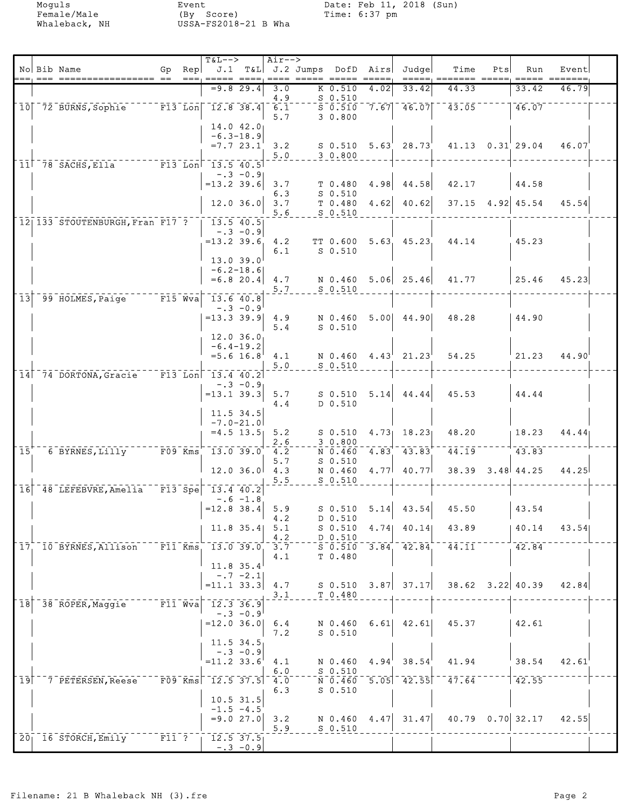|                 | No Bib Name                                                                    | $Gp$ Rep  | <b>T&amp;L--&gt;</b>                   |                                          | Air-->                   | J.1 T&L J.2 Jumps DofD Airs     |      | Judge                              | Time                   | Pts | Run                    | Event<br>===== ======= |  |
|-----------------|--------------------------------------------------------------------------------|-----------|----------------------------------------|------------------------------------------|--------------------------|---------------------------------|------|------------------------------------|------------------------|-----|------------------------|------------------------|--|
|                 |                                                                                |           |                                        | =9.8 29.4                                | 3.0<br>4.9               | K 0.510<br>$S_0.510$            | 4.02 | 33.42                              | 44.33                  |     | 33.42                  | 46.79                  |  |
|                 | 10 72 BURNS, Sophie                                                            | $F13$ Lon |                                        | $12.8$ 38.4                              | 6.1<br>5.7               | $S = 0.510$<br>30.800           |      | $7.67$ <sup>-46.07</sup>           | $\overline{43.05}$     |     | $-46.07$               |                        |  |
|                 |                                                                                |           |                                        | 14.0 42.0<br>$-6.3 - 18.9$<br>$=7.723.1$ | 3.2<br>5.0               | 3 0.800                         |      | $S$ 0.510 5.63 28.73               | 41.13 0.31 29.04       |     |                        | 46.07                  |  |
|                 | 11 78 SACHS, Ella F13 Lon 13.5 40.5                                            |           |                                        | $-0.3 - 0.9$                             |                          |                                 |      |                                    |                        |     |                        |                        |  |
|                 |                                                                                |           | $= 13.2$ 39.6                          |                                          | 3.7<br>6.3               | T <sub>0.480</sub><br>$S$ 0.510 | 4.98 | 44.58                              | 42.17                  |     | 44.58                  |                        |  |
|                 |                                                                                |           |                                        | $12.0$ 36.0                              | 3.7<br>5.6               | T <sub>0.480</sub><br>$S$ 0.510 | 4.62 | 40.62                              |                        |     | $37.15$ 4.92 45.54     | 45.54                  |  |
|                 | 12 133 STOUTENBURGH, Fran F17 ?                                                |           |                                        | 13.5 40.5<br>$-.3 - 0.9$                 |                          |                                 |      |                                    |                        |     |                        |                        |  |
|                 |                                                                                |           | $= 13.2$ 39.6                          | 13.0 39.0                                | 4.2<br>6.1               | $S_0.510$                       |      | TT 0.600 5.63 45.23                | 44.14                  |     | 45.23                  |                        |  |
|                 |                                                                                |           |                                        | $-6.2 - 18.6$                            | $= 6.8$ 20.4 4.7<br>5.7  | $S$ 0.510                       |      | N 0.460 5.06 25.46                 | 41.77                  |     | 25.46                  | 45.23                  |  |
| 13 <sup>1</sup> | $\overline{99}$ $\overline{HOLMES}$ , Paige $\overline{F15}$ $\overline{Wv}$ a |           |                                        | 13.6 40.8<br>$-.3 - 0.91$                |                          |                                 |      |                                    |                        |     |                        |                        |  |
|                 |                                                                                |           |                                        |                                          | $= 13.3$ 39.9 4.9<br>5.4 | $S_0.510$                       |      | N 0.460 5.00 44.90                 | 48.28                  |     | 44.90                  |                        |  |
|                 |                                                                                |           |                                        | $12.0$ $36.0$<br>$-6.4 - 19.2$           |                          |                                 |      |                                    |                        |     |                        |                        |  |
|                 |                                                                                |           |                                        | $=5.6$ 16.8                              | 4.1<br>5.0               | $S$ 0.510                       |      | N $0.460$ $4.43$ $21.23$           | 54.25                  |     | 21.23                  | $44.90^{\circ}$        |  |
|                 | 14 74 DORTONA, Gracie                                                          |           | $F13$ Lon $13.4$ 40.2<br>$= 13.1$ 39.3 | $-.3 - 0.9$                              | 5.7                      | $S$ 0.510 5.14                  |      | 44.44                              | 45.53                  |     | 44.44                  |                        |  |
|                 |                                                                                |           |                                        | 11.5 34.5<br>$-7.0 - 21.0$               | 4.4                      | D 0.510                         |      |                                    |                        |     |                        |                        |  |
|                 |                                                                                |           |                                        | $= 4.5$ 13.5                             | 5.2<br>2.6               | S 0.510<br>30.800               |      | $4.73$ $18.23$                     | 48.20                  |     | 18.23                  | 44.44                  |  |
| 15 <sup>°</sup> | $6$ BYRNES, Lilly $F09$ Kms                                                    |           |                                        | 13.0 39.0                                | 4.2<br>5.7               | N 0.460<br>$S$ 0.510            |      | $4.83 \quad 43.83$                 | 44.19                  |     | 43.83                  |                        |  |
|                 |                                                                                |           |                                        | 12.0 36.0                                | 4.3<br>5.5               | N 0.460<br>$S_0.510$            | 4.77 | 40.77                              | $38.39$ $3.48$ $44.25$ |     |                        | 44.25                  |  |
| 16              | 48 LEFEBVRE, Amelia F13 Spe                                                    |           | 13.4 40.2                              | $-.6 - 1.8$                              |                          |                                 |      |                                    |                        |     |                        |                        |  |
|                 |                                                                                |           | $=12.8$ 38.4                           |                                          | 5.9<br>4.2               | D 0.510                         |      | $S$ 0.510 5.14 43.54               | 45.50                  |     | 43.54                  |                        |  |
|                 |                                                                                |           |                                        | $11.8$ 35.4                              | 5.1<br>4.2               | $S_0.510$<br>D 0.510            |      | $4.74$ $40.14$                     | 43.89                  |     | $ 40.14\rangle$        | 43.54                  |  |
|                 | 17 10 BYRNES, Allison F11 Kms                                                  |           | 13.0 39.0                              |                                          | 3.7<br>4.1               | T 0.480                         |      | $5\overline{0.510}$ $3.84$ $42.84$ | $^{-1}$ 44.11          |     | 42.84                  |                        |  |
|                 |                                                                                |           | $= 11.1$ 33.3 4.7                      | $11.8$ 35.4<br>$-0.7 -2.1$               |                          |                                 |      | $S$ 0.510 3.87 37.17               |                        |     | $38.62$ $3.22$ $40.39$ | 42.84                  |  |
| 18              | 38 ROPER, Maggie F11 Wva                                                       |           |                                        | 12.3 36.9                                | 3.1                      | T 0.480                         |      |                                    |                        |     |                        |                        |  |
|                 |                                                                                |           | $=12.0$ 36.0                           | $-.3 -0.9$                               | 6.4<br>7.2               | $S$ 0.510                       |      | N 0.460 6.61 42.61                 | 45.37                  |     | 42.61                  |                        |  |
|                 |                                                                                |           |                                        | 11.5 34.5<br>$-.3 - 0.9$                 |                          |                                 |      |                                    |                        |     |                        |                        |  |
|                 |                                                                                |           | $= 11.2$ 33.6                          |                                          | 4.1<br>6.0               | $S_0.510$                       |      | N $0.460$ $4.94$ $38.54$           | 41.94                  |     | 38.54                  | 42.61                  |  |
|                 | 19 7 PETERSEN, Reese                                                           |           | $F09$ Kms $12.5$ 37.5                  |                                          | 4.0<br>6.3               | N 0.460<br>$S$ 0.510            |      | $5.05$ 42.55                       | $\overline{47.64}^-$   |     | 142.55                 |                        |  |
|                 |                                                                                |           |                                        | $10.5$ 31.5<br>$-1.5 -4.5$               | $= 9.0 27.0   3.2$       |                                 |      |                                    | $40.79$ $0.70$ 32.17   |     |                        |                        |  |
|                 | $20$ <sup>-16</sup> STORCH, Emily F11 ?   12.5 37.5                            |           |                                        |                                          | 5.9                      | $S_0.510$                       |      | N $0.460$ 4.47 31.47               |                        |     |                        | 42.55                  |  |
|                 |                                                                                |           |                                        | $-0.3 - 0.9$                             |                          |                                 |      |                                    |                        |     |                        |                        |  |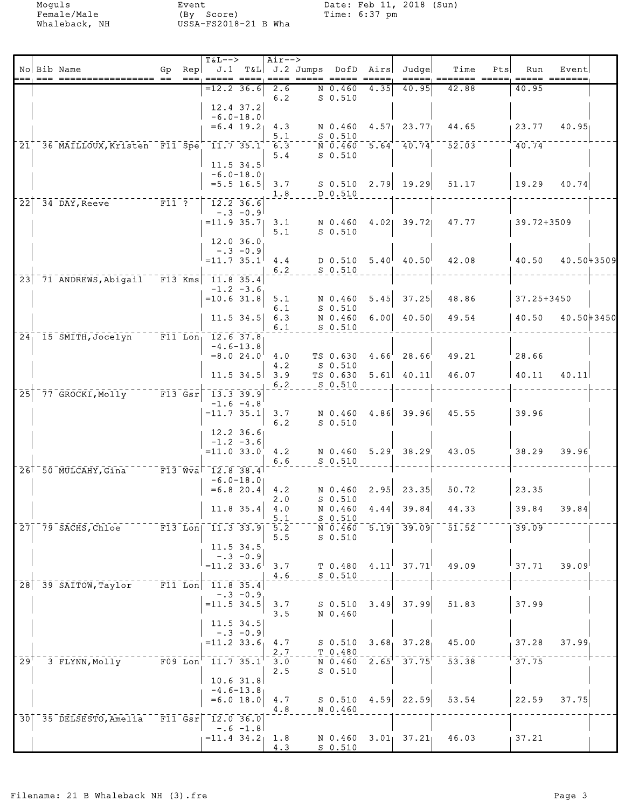|                              | No Bib Name                             | Gp                 | Rep                                                                                              | $T&L-->$<br>J.1                                                                                                                               |                                | $Air--$                 | T&L J.2 Jumps DofD Airs |                   | Judge                      | Time                                  | Pts | Run        | Event         |  |
|------------------------------|-----------------------------------------|--------------------|--------------------------------------------------------------------------------------------------|-----------------------------------------------------------------------------------------------------------------------------------------------|--------------------------------|-------------------------|-------------------------|-------------------|----------------------------|---------------------------------------|-----|------------|---------------|--|
|                              |                                         |                    |                                                                                                  |                                                                                                                                               |                                |                         |                         |                   | =====                      | $=$ ====== =====;                     |     |            | ===== ======= |  |
|                              |                                         |                    |                                                                                                  | $= 12.2$ 36.6                                                                                                                                 |                                | 2.6<br>6.2              | $N$ 0.460<br>$S$ 0.510  | 4.35              | 40.95                      | 42.88                                 |     | 40.95      |               |  |
|                              |                                         |                    |                                                                                                  |                                                                                                                                               | 12.4 37.2                      |                         |                         |                   |                            |                                       |     |            |               |  |
|                              |                                         |                    |                                                                                                  |                                                                                                                                               | $-6.0 - 18.0$<br>$= 6.4$ 19.2  | 4.3                     | N 0.460                 |                   | $4.57$ 23.77               | 44.65                                 |     | 23.77      | 40.95         |  |
|                              |                                         |                    |                                                                                                  |                                                                                                                                               |                                | 5.1                     | $- -  5 - 0.510$        |                   |                            |                                       |     |            |               |  |
| 21'                          | 36 MAILLOUX, Kristen F11 Spe 11.7 35.1  |                    |                                                                                                  |                                                                                                                                               |                                | 6.3<br>5.4              | $S$ 0.510               |                   | $\bar{N}$ 0.460 5.64 40.74 | 52.03                                 |     | 40.74      |               |  |
|                              |                                         |                    |                                                                                                  |                                                                                                                                               | $11.5$ 34.5                    |                         |                         |                   |                            |                                       |     |            |               |  |
|                              |                                         |                    |                                                                                                  |                                                                                                                                               | $-6.0 - 18.0$<br>$= 5.5$ 16.5  | 3.7                     |                         |                   | $S$ 0.510 2.79 19.29       | 51.17                                 |     | 19.29      | 40.74         |  |
|                              |                                         |                    |                                                                                                  |                                                                                                                                               |                                | 1.8                     | D 0.510                 |                   |                            |                                       |     |            |               |  |
| 22                           | 34 DAY, Reeve                           | $\overline{F11}$ ? |                                                                                                  |                                                                                                                                               | 12.2 36.6<br>$-.3 -0.9$        |                         |                         |                   |                            |                                       |     |            |               |  |
|                              |                                         |                    |                                                                                                  | $= 11.9 35.7$                                                                                                                                 |                                | 3.1                     | N 0.460                 |                   | $4.02$ 39.72               | 47.77                                 |     | 39.72+3509 |               |  |
|                              |                                         |                    |                                                                                                  |                                                                                                                                               | $12.0$ 36.0                    | 5.1                     | $S$ 0.510               |                   |                            |                                       |     |            |               |  |
|                              |                                         |                    |                                                                                                  |                                                                                                                                               | $-.3 - 0.9$                    |                         |                         |                   |                            |                                       |     |            |               |  |
|                              |                                         |                    |                                                                                                  | $=11.7 35.1$                                                                                                                                  |                                | 4.4                     | D 0.510                 |                   | $5.40^{+}$ 40.50           | 42.08                                 |     | 40.50      | 40.5043509    |  |
| 23                           | $71$ ANDREWS, Abigail F13 Kms 11.8 35.4 |                    |                                                                                                  |                                                                                                                                               |                                | 6.2                     | $S$ 0.510               |                   |                            |                                       |     |            |               |  |
|                              |                                         |                    |                                                                                                  |                                                                                                                                               | $-1.2 -3.6$                    |                         |                         |                   |                            |                                       |     |            |               |  |
|                              |                                         |                    |                                                                                                  | $=10.6$ 31.8                                                                                                                                  |                                | 5.1<br>6.1              | N 0.460<br>$S$ 0.510    | 5.45              | 37.25                      | 48.86                                 |     | 37.25+3450 |               |  |
|                              |                                         |                    |                                                                                                  |                                                                                                                                               | $11.5$ 34.5                    | 6.3                     | N 0.460                 |                   | $6.00$ 40.50               | 49.54                                 |     | 40.50      | 40.50+3450    |  |
| 24 <sub>1</sub>              | 15 SMITH,Jocelyn                        |                    |                                                                                                  | $F11$ Lon <sub>1</sub> 12.6 37.8                                                                                                              |                                | 6.1                     | $S$ 0.510               |                   |                            |                                       |     |            |               |  |
|                              |                                         |                    |                                                                                                  |                                                                                                                                               | $-4.6 - 13.8$                  |                         |                         |                   |                            |                                       |     |            |               |  |
|                              |                                         |                    |                                                                                                  |                                                                                                                                               | $= 8.0 24.0$                   | 4.0<br>4.2              | TS 0.630<br>$S_0.510$   | 4.66              | 28.66                      | 49.21                                 |     | 28.66      |               |  |
|                              |                                         |                    |                                                                                                  |                                                                                                                                               | $11.5$ 34.5                    | 3.9                     | TS 0.630                | 5.61              | 40.11                      | 46.07                                 |     | 40.11      | 40.11         |  |
| 25                           | 77 GROCKI, Molly F13 Gsr 13.3 39.9      |                    |                                                                                                  |                                                                                                                                               |                                | 6.2                     | $S_0.510$               |                   |                            |                                       |     |            |               |  |
|                              |                                         |                    |                                                                                                  |                                                                                                                                               | $-1.6 -4.8$                    |                         |                         |                   |                            |                                       |     |            |               |  |
|                              |                                         |                    |                                                                                                  | $=11.7$ 35.1                                                                                                                                  |                                | 3.7<br>6.2              | N 0.460<br>$S$ 0.510    |                   | $4.86$ 39.96               | 45.55                                 |     | 39.96      |               |  |
|                              |                                         |                    |                                                                                                  |                                                                                                                                               | $12.2$ 36.6                    |                         |                         |                   |                            |                                       |     |            |               |  |
|                              |                                         |                    |                                                                                                  | $=11.0$ 33.0                                                                                                                                  | $-1.2 -3.6$                    | 4.2                     |                         |                   | N $0.460$ 5.29 38.29       | 43.05                                 |     | 38.29      | 39.96         |  |
|                              |                                         |                    |                                                                                                  |                                                                                                                                               |                                | 6.6                     | $S$ 0.510               |                   |                            |                                       |     |            |               |  |
|                              | 26 50 MULCAHY, Gina F13 Wva 12.8 38.4   |                    |                                                                                                  |                                                                                                                                               | $-6.0 - 18.0$                  |                         |                         |                   |                            |                                       |     |            |               |  |
|                              |                                         |                    |                                                                                                  |                                                                                                                                               | $= 6.8$ 20.4                   | 4.2                     | N 0.460                 | 2.95              | 23.35                      | 50.72                                 |     | 23.35      |               |  |
|                              |                                         |                    |                                                                                                  |                                                                                                                                               | 11.8 35.4                      | 2.0<br>4.0              | $S$ 0.510<br>N 0.460    | 4.44              | 39.84                      | 44.33                                 |     | 39.84      | 39.84         |  |
|                              |                                         |                    |                                                                                                  |                                                                                                                                               |                                | $5.1\,$                 | $S$ 0.510               |                   |                            |                                       |     |            |               |  |
| $\overline{27}$ <sup>-</sup> | 79 SACHS, Chloe                         |                    |                                                                                                  | F13 Lon  $11.3$ 33.9                                                                                                                          |                                | $\overline{5.2}$<br>5.5 | N 0.460<br>$S$ 0.510    |                   | $\overline{5.19}$ 39.09    | 51.52                                 |     | 39.09      |               |  |
|                              |                                         |                    |                                                                                                  |                                                                                                                                               | 11.5 34.5                      |                         |                         |                   |                            |                                       |     |            |               |  |
|                              |                                         |                    |                                                                                                  | $= 11.2$ 33.6                                                                                                                                 | $-.3 - 0.9$                    | 3.7                     | T <sub>0.480</sub>      | 4.11              | 37.71                      | 49.09                                 |     | 37.71      | 39.09         |  |
|                              |                                         |                    |                                                                                                  |                                                                                                                                               |                                | 4.6                     | $S$ 0.510               |                   |                            |                                       |     |            |               |  |
| 28                           | 39 SAITOW, Taylor                       |                    |                                                                                                  | $\lceil \overline{\texttt{F11}} \rceil \overline{\texttt{Lon}} \rceil \rceil \overline{\texttt{11.8}} \rceil \overline{\texttt{35.4}} \rceil$ | $-.3 - 0.9$                    |                         |                         |                   |                            |                                       |     |            |               |  |
|                              |                                         |                    |                                                                                                  | $= 11.5$ 34.5                                                                                                                                 |                                | 3.7                     | $S_0.510$               | 3.49              | 37.99                      | 51.83                                 |     | 37.99      |               |  |
|                              |                                         |                    |                                                                                                  |                                                                                                                                               | 11.5 34.5                      | 3.5                     | N 0.460                 |                   |                            |                                       |     |            |               |  |
|                              |                                         |                    |                                                                                                  |                                                                                                                                               | $-.3 - 0.9$                    |                         |                         |                   |                            |                                       |     |            |               |  |
|                              |                                         |                    |                                                                                                  | $= 11.2$ 33.6                                                                                                                                 |                                | 4.7<br>2.7              | $S_0.510$<br>T 0.480    | 3.68 <sub>1</sub> | 37.28                      | 45.00                                 |     | 37.28      | 37.99         |  |
| $\overline{29}$              | 3 FLYNN, Molly                          |                    | $\mathbf{\bar{F}}\mathbf{\bar{0}\bar{9}}\mathbf{\bar{L}}\mathbf{\bar{o}}\mathbf{n}^{\mathrm{T}}$ |                                                                                                                                               | $\bar{11.7}$ 35.1 $^{\dagger}$ | 3.0                     | N 0.460                 |                   | $2.65 - 37.75$             | $\bar{5}\bar{3}\bar{.}\bar{3}\bar{8}$ |     | 37.75      |               |  |
|                              |                                         |                    |                                                                                                  |                                                                                                                                               | $10.6$ 31.8                    | 2.5                     | $S_0.510$               |                   |                            |                                       |     |            |               |  |
|                              |                                         |                    |                                                                                                  |                                                                                                                                               | $-4.6 - 13.8$                  |                         |                         |                   |                            |                                       |     |            |               |  |
|                              |                                         |                    |                                                                                                  |                                                                                                                                               | $= 6.0 18.0$                   | 4.7<br>4.8              | $S$ 0.510<br>N 0.460    | 4.59              | 22.59                      | 53.54                                 |     | 22.59      | 37.75         |  |
|                              | 30 35 DELSESTO, Amelia                  |                    |                                                                                                  | F11 Gsr 12.0 36.0                                                                                                                             |                                |                         |                         |                   |                            |                                       |     |            |               |  |
|                              |                                         |                    |                                                                                                  | $= 11.4$ 34.2                                                                                                                                 | $-.6 - 1.8$                    | 1.8                     | N 0.460                 |                   | $3.01$ $37.21$             | 46.03                                 |     | 37.21      |               |  |
|                              |                                         |                    |                                                                                                  |                                                                                                                                               |                                | 4.3                     | <u>s 0.510</u>          |                   |                            |                                       |     |            |               |  |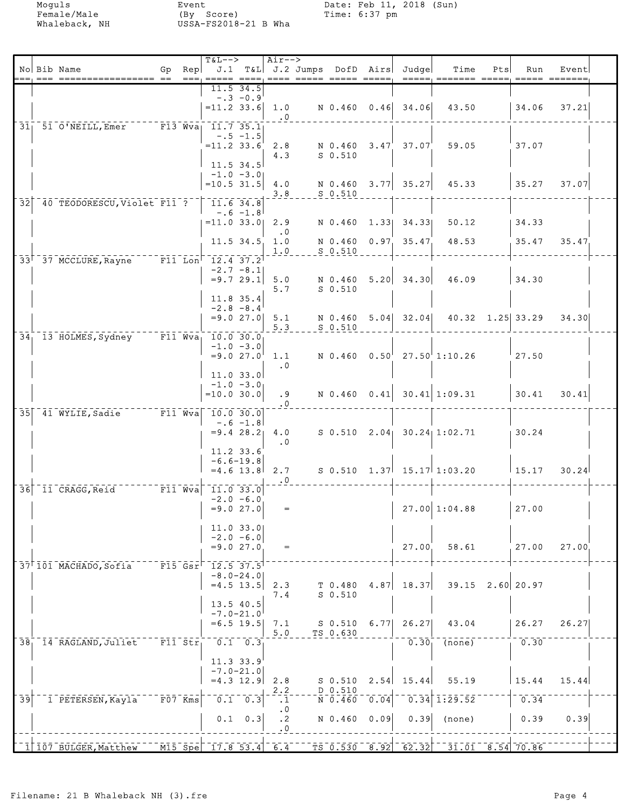|                 | No Bib Name                            | $Gp$ Rep                                                  | <b>T&amp;L--&gt;</b>                                                                                                                                  |                                             | Air-->                              | ==== ===== ===== =====                                                                |                           | J.1 T&L J.2 Jumps DofD Airs Judge | Time<br>=====, ======== =====, ===== ======= | Pts | Run                      | Event |
|-----------------|----------------------------------------|-----------------------------------------------------------|-------------------------------------------------------------------------------------------------------------------------------------------------------|---------------------------------------------|-------------------------------------|---------------------------------------------------------------------------------------|---------------------------|-----------------------------------|----------------------------------------------|-----|--------------------------|-------|
|                 |                                        |                                                           | $= 11.2$ 33.6                                                                                                                                         | 11.5 34.5<br>$-.3 - 0.9$                    | 1.0<br>$\ddotsc 0$                  |                                                                                       |                           | N 0.460 0.46 34.06                | 43.50                                        |     | 34.06                    | 37.21 |
|                 | $31$ 51 O'NEILL, Emer                  |                                                           | $\overline{F13}$ Wva <sub>l</sub> $\overline{11.7}$ 35.1<br>$= 11.2$ 33.6                                                                             | $-.5 - 1.5$                                 | 2.8<br>4.3                          | N 0.460 3.47<br>$S$ 0.510                                                             |                           | 37.07                             | 59.05                                        |     | 37.07                    |       |
|                 |                                        |                                                           | $=10.5$ 31.5                                                                                                                                          | 11.5 34.5<br>$-1.0 -3.0$                    | 4.0<br>3.8                          | $S$ 0.510                                                                             |                           | $N$ 0.460 3.77 35.27              | 45.33                                        |     | 35.27                    | 37.07 |
| 32              | 40 TEODORESCU, Violet F11 ?            |                                                           | 11.6 34.8<br>$= 11.0 33.0$                                                                                                                            | $-.6 - 1.8$                                 | 2.9<br>$\cdot$ 0                    | N 0.460                                                                               | 1.33                      | 34.33                             | 50.12                                        |     | 34.33                    |       |
| 33 <sup>1</sup> | 37 MCCLURE, Rayne                      |                                                           | $\overline{F11}$ Lon <sup><math>\overline{12.4}</math></sup> 37.2                                                                                     | 11.5 34.5                                   | 1.0<br>1.0                          | $S_0.510$                                                                             |                           | N 0.460 0.97 35.47                | 48.53                                        |     | 35.47                    | 35.47 |
|                 |                                        |                                                           |                                                                                                                                                       | $-2.7 - 8.1$<br>$= 9.729.1$<br>11.8 35.4    | 5.0<br>5.7                          | N 0.460<br>$S_0.510$                                                                  |                           | 5.20   34.30                      | 46.09                                        |     | 34.30                    |       |
|                 |                                        |                                                           |                                                                                                                                                       | $-2.8 - 8.4$<br>$= 9.0 27.0$                | 5.1<br>5.3                          | S 0.510                                                                               |                           | N 0.460 5.04 32.04                |                                              |     | $40.32 \quad 1.25$ 33.29 | 34.30 |
| $\overline{34}$ | $-13$ HOLMES, Sydney F11 Wva 10.0 30.0 |                                                           |                                                                                                                                                       | $-1.0 -3.0$<br>$=9.0$ 27.0                  | 1.1<br>$\cdot$ 0                    |                                                                                       |                           |                                   | N 0.460 0.50 27.50 1:10.26                   |     | 27.50                    |       |
|                 |                                        |                                                           | $=10.0 30.0$                                                                                                                                          | $11.0$ 33.0<br>$-1.0 -3.0$                  | .9<br>$\cdot$ 0                     |                                                                                       |                           |                                   | N $0.460$ $0.41$ $30.41$ 1:09.31             |     | 30.41                    | 30.41 |
| 35              | 41 WYLIE, Sadie                        |                                                           | $\sqrt{11 \text{ Wva}}$ 10.0 30.0                                                                                                                     | $-.6 -1.8$<br>$= 9.4$ 28.2                  | 4.0<br>$\cdot$ 0                    |                                                                                       |                           |                                   | S $0.510$ $2.04$ $30.24$ 1:02.71             |     | 30.24                    |       |
|                 |                                        |                                                           |                                                                                                                                                       | $11.2$ 33.6<br>$-6.6 - 19.8$<br>$=4.6$ 13.8 | 2.7<br>$\cdot$ 0                    |                                                                                       |                           |                                   | $S$ 0.510 1.37 15.17 1:03.20                 |     | $\perp$ 15.17            | 30.24 |
| 36              | 11 CRAGG, Reid                         |                                                           | $\bar{r}$ $\bar{r}$ $\bar{1}$ $\bar{w}$ $\bar{w}$ $\bar{a}$ $\bar{r}$ $\bar{1}$ $\bar{1}$ $\bar{0}$ $\bar{0}$ $\bar{3}$ $\bar{3}$ $\bar{0}$ $\bar{0}$ | $-2.0 - 6.0$<br>$= 9.0 27.0$                | $=$                                 |                                                                                       |                           |                                   | $27.00 \mid 1:04.88$                         |     | 27.00                    |       |
|                 |                                        |                                                           |                                                                                                                                                       | $11.0$ 33.0<br>$-2.0 - 6.0$<br>$= 9.0 27.0$ |                                     |                                                                                       |                           | 27.00                             | 58.61                                        |     | 27.00                    | 27.00 |
|                 | 37 101 MACHADO, Sofia                  | $\overline{F15}$ Gsr <sup><math>\overline{ }</math></sup> | $\bar{12.5}$ 37.5 $\bar{1}$                                                                                                                           | $-8.0 - 24.0$<br>$=4.5$ 13.5                | 2.3<br>7.4                          | $T$ 0.480<br>$S$ 0.510                                                                |                           | $4.87$ 18.37                      | 39.15                                        |     | $2.60$ 20.97             |       |
|                 |                                        |                                                           |                                                                                                                                                       | 13.5 40.5<br>$-7.0 - 21.0$<br>$=6.5$ 19.5   | 7.1<br>5.0                          | $S_0.510$<br>TS 0.630                                                                 | 6.77                      | 26.27                             | 43.04                                        |     | 26.27                    | 26.27 |
| 38 <sub>1</sub> | <sup>14</sup> RAGLAND, Juliet          | $\bar{r}$ Fll $\bar{s}$ tr $\bar{r}$                      |                                                                                                                                                       | $0.1 \quad 0.3$<br>11.3 33.9                |                                     |                                                                                       |                           | $0.30^{-}$                        | $\overline{(\text{none})}$                   |     | 0.30                     |       |
|                 |                                        |                                                           |                                                                                                                                                       | $-7.0 - 21.0$                               | $=4.3$ 12.9 2.8<br>2.2              | $S$ $0.510$<br>D 0.510                                                                |                           | $2.54$ 15.44                      | 55.19                                        |     | 15.44                    | 15.44 |
| $\overline{39}$ | 1 PETERSEN, Kayla                      | $F07$ Kms                                                 |                                                                                                                                                       | $0.1 - 0.3$<br>$0.1 \quad 0.3$              | $\cdot$ 1<br>$\cdot$ 0<br>$\cdot$ 2 | $\overline{N}$ $\overline{0}$ $\overline{4}$ $\overline{6}$ $\overline{0}$<br>N 0.460 | $\overline{0.04}$<br>0.09 | 0.39                              | $0.34$ 1:29.52<br>(none)                     |     | 0.34<br>0.39             | 0.39  |
|                 | 1 107 BULGER, Matthew                  |                                                           | $\overline{M15}$ Spe 17.8 53.4 6.4                                                                                                                    |                                             | $\cdot$ 0                           | $\bar{T}S$ 0.530 8.92                                                                 |                           | $-62.32$                          | $31.01$ $8.54$ 70.86                         |     |                          |       |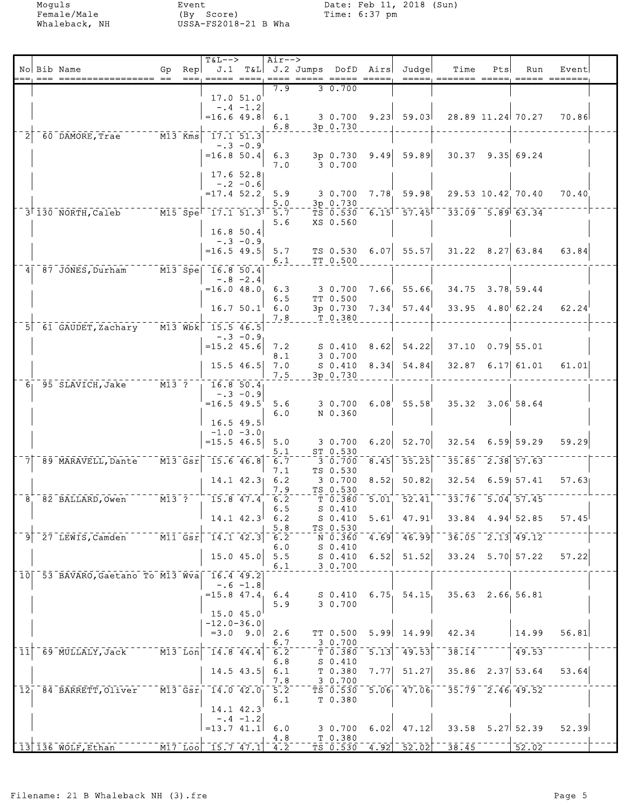|                 | No Bib Name<br>====== ==                   |           | $Gp$ Rep | <b>T&amp;L--&gt;</b><br>$=$ ==, ===== ====,             |                             | Air--><br>$=$ $=$ $=$ |                          | $=$ $=$ $=$ $=$ $=$ $2$ | J.1 T&L J.2 Jumps DofD Airs Judge              | Time<br>=====; ======== =====; ===== ======= | Pts | Run                            | Event |  |
|-----------------|--------------------------------------------|-----------|----------|---------------------------------------------------------|-----------------------------|-----------------------|--------------------------|-------------------------|------------------------------------------------|----------------------------------------------|-----|--------------------------------|-------|--|
|                 |                                            |           |          |                                                         |                             | 7.9                   | 3 0.700                  |                         |                                                |                                              |     |                                |       |  |
|                 |                                            |           |          |                                                         | 17.051.0<br>$-.4 -1.2$      |                       |                          |                         |                                                |                                              |     |                                |       |  |
|                 |                                            |           |          | $= 16.6 49.8$                                           |                             | 6.1                   |                          |                         | $3\ 0.700\ 9.23\ 59.03$                        |                                              |     | 28.89 11.24 70.27              | 70.86 |  |
|                 |                                            |           |          |                                                         |                             | 6.8                   | 3p 0.730                 |                         |                                                |                                              |     |                                |       |  |
|                 | 60 DAMORE, Trae                            | $M13$ Kms |          |                                                         | $17.1$ 51.3<br>$-.3 - 0.9'$ |                       |                          |                         |                                                |                                              |     |                                |       |  |
|                 |                                            |           |          | $=16.8$ 50.4                                            |                             | 6.3                   | 3p 0.730                 |                         | $9.49$ 59.89                                   |                                              |     | $30.37$ 9.35 69.24             |       |  |
|                 |                                            |           |          |                                                         | $17.6$ 52.8                 | 7.0                   | 3 0.700                  |                         |                                                |                                              |     |                                |       |  |
|                 |                                            |           |          |                                                         | $-.2 -0.6$                  |                       |                          |                         |                                                |                                              |     |                                |       |  |
|                 |                                            |           |          | $= 17.4$ 52.2                                           |                             | 5.9<br>5.0            | 3 0.700<br>3p 0.730      |                         | $7.78$ 59.98                                   |                                              |     | $29.53$ $10.42$ $70.40$        | 70.40 |  |
|                 | 3 130 NORTH, Caleb                         |           |          | M15 Spe <sup>-17.1</sup> 51.3                           |                             | 5.7                   | $TS$ $0.530$             |                         | $6.15$ $57.45$                                 |                                              |     | $33.09 - 5.89$ 63.34           |       |  |
|                 |                                            |           |          |                                                         |                             | 5.6                   | XS 0.560                 |                         |                                                |                                              |     |                                |       |  |
|                 |                                            |           |          |                                                         | $16.8$ 50.4<br>$-.3 - 0.9$  |                       |                          |                         |                                                |                                              |     |                                |       |  |
|                 |                                            |           |          | $=16.5$ 49.5                                            |                             | 5.7                   | TS 0.530                 | 6.07                    | 55.57                                          |                                              |     | $31.22$ $8.27$ 63.84           | 63.84 |  |
|                 | 87 JONES, Durham                           |           |          | M13 Spe 16.8 50.4                                       |                             | 6.1                   | TT 0.500                 |                         |                                                |                                              |     |                                |       |  |
|                 |                                            |           |          |                                                         | $-.8 - 2.4$                 |                       |                          |                         |                                                |                                              |     |                                |       |  |
|                 |                                            |           |          | $=16.0$ 48.0                                            |                             | 6.3<br>6.5            | 3 0.700<br>TT 0.500      |                         | 7.66, 55.66                                    |                                              |     | 34.75 3.78 59.44               |       |  |
|                 |                                            |           |          |                                                         | 16.7 50.1                   | 6.0                   | 3p 0.730                 | 7.34 <sup>1</sup>       | 57.44                                          |                                              |     | $33.95$ $4.80$ 62.24           | 62.24 |  |
|                 | $5$ <sup>-61-GAUDET, Zachary</sup>         |           |          | M13 Wbk 15.5 46.5                                       |                             | 7.8                   | T 0.380                  |                         |                                                |                                              |     |                                |       |  |
|                 |                                            |           |          |                                                         | $-.3 - 0.9$                 |                       |                          |                         |                                                |                                              |     |                                |       |  |
|                 |                                            |           |          | $= 15.2$ 45.6                                           |                             | 7.2<br>8.1            | $S_0.410$<br>3 0.700     | 8.62                    | 54.22                                          |                                              |     | $37.10 \quad 0.79$ 55.01       |       |  |
|                 |                                            |           |          |                                                         | $15.5$ 46.5                 | 7.0                   | S 0.410                  | 8.34                    | 54.84                                          |                                              |     | $32.87$ 6.17 61.01             | 61.01 |  |
|                 |                                            |           |          |                                                         |                             | 7.5                   | 3p 0.730                 |                         |                                                |                                              |     |                                |       |  |
|                 | $61$ 95 SLAVICH, Jake                      | M13 ?     |          | 16.850.4                                                | $-.3 - 0.9$                 |                       |                          |                         |                                                |                                              |     |                                |       |  |
|                 |                                            |           |          | $=16.5$ 49.5                                            |                             | 5.6                   | 3 0.700                  | 6.08 <sup>1</sup>       | 55.58                                          |                                              |     | $35.32$ $3.06$ 58.64           |       |  |
|                 |                                            |           |          | $16.5$ 49.5                                             |                             | 6.0                   | N 0.360                  |                         |                                                |                                              |     |                                |       |  |
|                 |                                            |           |          |                                                         | $-1.0 -3.0$                 |                       |                          |                         |                                                |                                              |     |                                |       |  |
|                 |                                            |           |          | $=$ 15.5 46.5 $\,$                                      |                             | 5.0<br>5.1            | 30.700<br>ST 0.530       | 6.20                    | 52.70                                          |                                              |     | $32.54$ 6.59 59.29             | 59.29 |  |
|                 | 7 89 MARAVELL, Dante                       |           |          | M13 Gsr 15.6 46.8                                       |                             | 6.7                   | 3 0.700                  | 8.45                    | 55.25                                          |                                              |     | $35.85$ <sup>-2.38</sup> 57.63 |       |  |
|                 |                                            |           |          |                                                         | $14.1$ $42.3$               | 7.1<br>6.2            | TS 0.530<br>3 0.700      | 8.52                    | 50.82                                          |                                              |     | $32.54$ 6.59 57.41             | 57.63 |  |
|                 |                                            |           |          |                                                         |                             | 7.9                   | TS 0.530                 |                         |                                                |                                              |     |                                |       |  |
|                 | 8 82 BALLARD, Owen                         |           |          | M13 ? 15.8 47.4                                         |                             | 6.2                   | T <sub>0.380</sub>       |                         | $5.01 - 52.41$                                 |                                              |     | $33.76 - 5.04$ 57.45           |       |  |
|                 |                                            |           |          |                                                         | $14.1$ $42.3$               | 6.5<br>6.2            | $S_0.410$<br>$S_0.410$   |                         | $5.61$ <sup>[</sup> 47.91 <sup>]</sup>         |                                              |     | $33.84$ 4.94 52.85             | 57.45 |  |
|                 |                                            |           |          |                                                         |                             | 5.8                   | TS 0.530                 |                         |                                                |                                              |     |                                |       |  |
| 91.             | $27$ LEWIS, Camden                         |           |          | $\bar{M}$ 11 $\bar{G}$ sr $\bar{K}$ 14.1 42.3 $\bar{K}$ |                             | 6.2<br>6.0            | $N$ $0.360$<br>$S_0.410$ |                         | $4.69 - 46.99$                                 |                                              |     | $36.05 - 2.13$ 49.12           |       |  |
|                 |                                            |           |          |                                                         | $15.0$ 45.0                 | 5.5                   | $S$ 0.410                | 6.52                    | 51.52                                          |                                              |     | $33.24$ $5.70$ $57.22$         | 57.22 |  |
|                 | 10 53 BAVARO, Gaetano To M13 Wva 16.4 49.2 |           |          |                                                         |                             | 6.1                   | 3 0.700                  |                         |                                                |                                              |     |                                |       |  |
|                 |                                            |           |          |                                                         | $-.6 -1.8$                  |                       |                          |                         |                                                |                                              |     |                                |       |  |
|                 |                                            |           |          | $= 15.8$ 47.4                                           |                             | 6.4<br>5.9            | $S_0.410$<br>3 0.700     |                         | 6.75, 54.15                                    |                                              |     | 35.63 2.66 56.81               |       |  |
|                 |                                            |           |          |                                                         | $15.0$ $45.0$               |                       |                          |                         |                                                |                                              |     |                                |       |  |
|                 |                                            |           |          | $-12.0 - 36.0$                                          | $= 3.0$ 9.0                 | 2.6                   | TT 0.500                 | 5.99                    | 14.99                                          | 42.34                                        |     | 14.99                          | 56.81 |  |
|                 |                                            |           |          |                                                         |                             | 6.7                   | 3 0.700                  |                         |                                                |                                              |     |                                |       |  |
| $\overline{11}$ | 69 MULLALY, Jack                           | $M13$ Lon |          | $-14.8$ 44.4                                            |                             | 6.2<br>6.8            | T 0.380<br>$S_0.410$     | 5.13                    | $\overline{49.53}$                             | 38.14                                        |     | 49.53                          |       |  |
|                 |                                            |           |          |                                                         | 14.5 43.5                   | 6.1                   | T 0.380                  | 7.77                    | 51.27                                          |                                              |     | $35.86$ 2.37 53.64             | 53.64 |  |
|                 |                                            |           |          |                                                         |                             | 7.8                   | 3 0.700                  |                         | $5.06$ $47.06$                                 |                                              |     | $35.79 - 2.46$ 49.52           |       |  |
| 12 <sub>1</sub> | 84 BARRETT, Oliver                         |           |          | $M13$ Gsr <sub>1</sub> 14.0 42.0                        |                             | 5.2<br>6.1            | TS 0.530<br>T 0.380      |                         |                                                |                                              |     |                                |       |  |
|                 |                                            |           |          |                                                         | 14.1 42.3                   |                       |                          |                         |                                                |                                              |     |                                |       |  |
|                 |                                            |           |          | $=13.7$ 41.1                                            | $-.4 -1.2$                  | 6.0                   | 30.700                   |                         | $6.02$ 47.12                                   |                                              |     | $33.58$ $5.27$ $52.39$         | 52.39 |  |
|                 |                                            |           |          |                                                         |                             | 4.8                   | T 0.380                  |                         |                                                |                                              |     |                                |       |  |
|                 | $13$ $136$ WOLF, Ethan                     |           |          | $\overline{M17}$ Loo $\overline{15.7}$ 47.1             |                             | 4.2                   |                          |                         | $\bar{T}S$ 0.530 $\bar{4}$ .92 $\bar{5}$ 52.02 | 38.45                                        |     | $\overline{52.02}$             |       |  |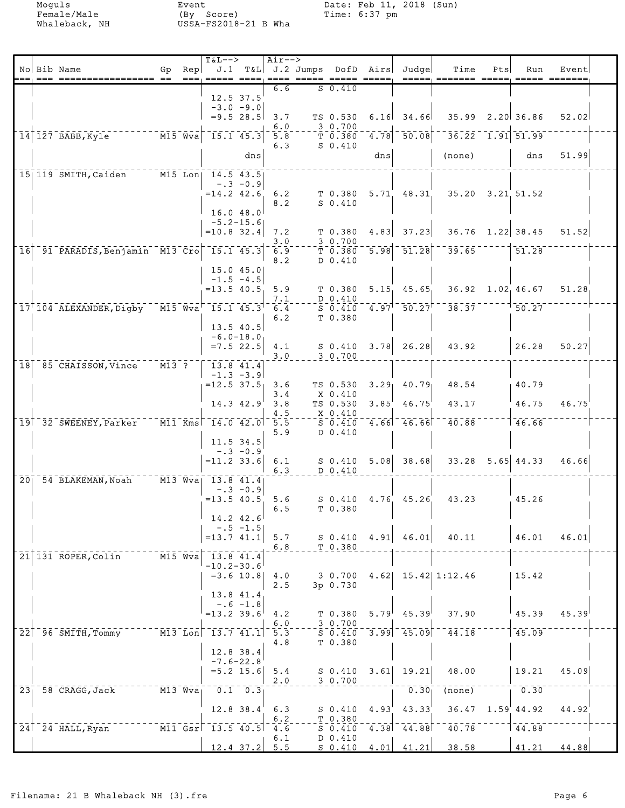|    | No Bib Name                                                              | Gp Rep | <b>T&amp;L--&gt;</b> |                               | Air-->          |                                                 |      | J.1 T&L J.2 Jumps DofD Airs Judge                       | Time                                | Pts | Run                       | Event |  |
|----|--------------------------------------------------------------------------|--------|----------------------|-------------------------------|-----------------|-------------------------------------------------|------|---------------------------------------------------------|-------------------------------------|-----|---------------------------|-------|--|
|    |                                                                          |        |                      |                               |                 |                                                 |      |                                                         | =====, ======= =====, ===== ======= |     |                           |       |  |
|    |                                                                          |        |                      |                               | 6.6             | 50.410                                          |      |                                                         |                                     |     |                           |       |  |
|    |                                                                          |        |                      | $12.5$ $37.5$<br>$-3.0 - 9.0$ |                 |                                                 |      |                                                         |                                     |     |                           |       |  |
|    |                                                                          |        |                      | $= 9.5$ 28.5                  | 3.7             | TS 0.530                                        |      | $6.16$ 34.66                                            |                                     |     | $35.99$ $2.20$ $36.86$    | 52.02 |  |
|    |                                                                          |        |                      |                               | 6.0             | 3 0.700                                         |      |                                                         |                                     |     |                           |       |  |
|    | 14 127 BABB, Kyle M15 Wva 15.1 45.3                                      |        |                      |                               | 5.8<br>6.3      | $T$ <sup>-<math>0.380</math></sup><br>$S_0.410$ | 4.78 | 50.08                                                   |                                     |     | $36.22 - 1.91$ 51.99      |       |  |
|    |                                                                          |        |                      | dnsl                          |                 |                                                 | dns  |                                                         | (none)                              |     | dns                       | 51.99 |  |
|    |                                                                          |        |                      |                               |                 |                                                 |      |                                                         |                                     |     |                           |       |  |
|    | 15 119 SMITH, Caiden M15 Lon 14.5 43.5                                   |        |                      | $-.3 - 0.9$                   |                 |                                                 |      |                                                         |                                     |     |                           |       |  |
|    |                                                                          |        | $= 14.2$ 42.6        |                               | 6.2             |                                                 |      | $T$ 0.380 5.71 48.31                                    |                                     |     | $35.20$ $3.21$ $51.52$    |       |  |
|    |                                                                          |        | 16.048.0             |                               | 8.2             | $S_0.410$                                       |      |                                                         |                                     |     |                           |       |  |
|    |                                                                          |        | $-5.2 - 15.6$        |                               |                 |                                                 |      |                                                         |                                     |     |                           |       |  |
|    |                                                                          |        | $=10.8$ 32.4         |                               | 7.2             | T 0.380                                         |      | $4.83$ 37.23                                            |                                     |     | $36.76$ 1.22 38.45        | 51.52 |  |
| 16 | $-91$ PARADIS, Benjamin $-$ M13 Cro $-15.1$ 45.3                         |        |                      |                               | 3.0<br>6.9      | 3 0.700                                         |      | $\bar{\tau}$ 0.380 $\bar{\tau}$ 5.98 $\bar{\tau}$ 51.28 | $39.65$ <sup>-----</sup>            |     | 51.28                     |       |  |
|    |                                                                          |        |                      |                               | 8.2             | D 0.410                                         |      |                                                         |                                     |     |                           |       |  |
|    |                                                                          |        |                      | $15.0$ $45.0$                 |                 |                                                 |      |                                                         |                                     |     |                           |       |  |
|    |                                                                          |        | $= 13.5$ 40.5        | $-1.5 - 4.5$                  | 5.9             | T <sub>0.380</sub>                              |      | $5.15$ 45.65                                            |                                     |     | $36.92 \quad 1.02, 46.67$ | 51.28 |  |
|    |                                                                          |        |                      |                               | 7.1             | D 0.410                                         |      |                                                         |                                     |     |                           |       |  |
|    | 17 104 ALEXANDER, Digby M15 Wva 15.1 45.3                                |        |                      |                               | 6.4             |                                                 |      | $5^-0.410^ 4.97^{\dagger}$ $50.27^{\dagger}$            | $\frac{1}{38.37}$                   |     | 50.27                     |       |  |
|    |                                                                          |        |                      | $13.5$ 40.5                   | 6.2             | T <sub>0.380</sub>                              |      |                                                         |                                     |     |                           |       |  |
|    |                                                                          |        |                      | $-6.0 - 18.0$                 |                 |                                                 |      |                                                         |                                     |     |                           |       |  |
|    |                                                                          |        |                      | $=7.5$ 22.5                   | 4.1<br>3.0      |                                                 |      | $S$ 0.410 3.78 26.28                                    | 43.92                               |     | 26.28                     | 50.27 |  |
|    | 18 85 CHAISSON, Vince M13 ?                                              |        | 13.8 41.4            |                               |                 | 3 0.700                                         |      |                                                         |                                     |     |                           |       |  |
|    |                                                                          |        | $-1.3 -3.9$          |                               |                 |                                                 |      |                                                         |                                     |     |                           |       |  |
|    |                                                                          |        | $= 12.5$ 37.5 3.6    |                               | 3.4             | TS 0.530<br>X 0.410                             |      | $3.29$ $40.79$                                          | 48.54                               |     | 40.79                     |       |  |
|    |                                                                          |        |                      | $14.3$ $42.9$                 | 3.8             | TS 0.530                                        |      | $3.85'$ 46.75                                           | 43.17                               |     | 46.75                     | 46.75 |  |
|    |                                                                          |        |                      |                               | 4.5             | $X_0$ . 410                                     |      |                                                         |                                     |     |                           |       |  |
|    | 19 32 SWEENEY, Parker M11 Kms 14.0 42.0 5.5                              |        |                      |                               | 5.9             | S 0.410<br>D 0.410                              |      | $4.66$ $46.66$                                          | 40.88                               |     | 146.66                    |       |  |
|    |                                                                          |        |                      | $11.5$ 34.5                   |                 |                                                 |      |                                                         |                                     |     |                           |       |  |
|    |                                                                          |        |                      | $-.3 -0.9$                    |                 |                                                 |      |                                                         |                                     |     |                           |       |  |
|    |                                                                          |        | $= 11.2$ 33.6        |                               | 6.1<br>6.3      | S 0.410<br>D 0.410                              |      | $5.08$ 38.68                                            |                                     |     | $33.28$ 5.65 44.33        | 46.66 |  |
|    | 20 54 BLAKEMAN, Noah M13 Wva 13.8 41.4                                   |        |                      |                               |                 |                                                 |      |                                                         |                                     |     |                           |       |  |
|    |                                                                          |        | $= 13.5$ 40.5        | $-.3 - 0.9$                   | 5.6             | S 0.410                                         |      | $4.76$ $45.26$                                          | 43.23                               |     | 45.26                     |       |  |
|    |                                                                          |        |                      |                               | 6.5             | T 0.380                                         |      |                                                         |                                     |     |                           |       |  |
|    |                                                                          |        | $14.2$ $42.6$        |                               |                 |                                                 |      |                                                         |                                     |     |                           |       |  |
|    |                                                                          |        | $=13.7$ 41.1         | $-0.5 - 1.5$                  | 5.7             |                                                 |      | $S$ 0.410 4.91 46.01                                    | 40.11                               |     | 46.01                     | 46.01 |  |
|    |                                                                          |        |                      |                               | 6.8             | T 0.380                                         |      |                                                         |                                     |     |                           |       |  |
|    | 21 131 ROPER, Colin M15 Wva 13.8 41.4                                    |        | $-10.2 - 30.6$       |                               |                 |                                                 |      |                                                         |                                     |     |                           |       |  |
|    |                                                                          |        |                      |                               | $=3.6$ 10.8 4.0 | 3 0.700                                         |      |                                                         | $4.62$ 15.42 1:12.46                |     | 15.42                     |       |  |
|    |                                                                          |        |                      |                               | 2.5             | 3p 0.730                                        |      |                                                         |                                     |     |                           |       |  |
|    |                                                                          |        | 13.841.4             | $-.6 -1.8$                    |                 |                                                 |      |                                                         |                                     |     |                           |       |  |
|    |                                                                          |        | $=13.2$ 39.6         |                               | 4.2             | T <sub>0.380</sub>                              |      | $5.79^{+}$ 45.39                                        | 37.90                               |     | 45.39                     | 45.39 |  |
|    |                                                                          |        |                      |                               | 6.0             | 3 0.700                                         |      |                                                         |                                     |     |                           |       |  |
|    | 22 96 SMITH, Tommy M13 Lon 13.7 41.1                                     |        |                      |                               | 5.3<br>4.8      | T 0.380                                         |      | $\sqrt{5}$ $\sqrt{0.410}$ $\sqrt{3.99}$ $\sqrt{45.09}$  | 44.18                               |     | 45.09                     |       |  |
|    |                                                                          |        |                      | 12.8 38.4                     |                 |                                                 |      |                                                         |                                     |     |                           |       |  |
|    |                                                                          |        |                      | $-7.6 - 22.8$                 |                 |                                                 |      |                                                         |                                     |     |                           |       |  |
|    |                                                                          |        |                      | $= 5.2$ 15.6                  | 5.4<br>2.0      | 3 0.700                                         |      | $S$ 0.410 3.61 19.21                                    | 48.00                               |     | 19.21                     | 45.09 |  |
|    | 23 <sub>1</sub> 58 CRAGG, Jack M13 Wva <sub>1</sub> 0.1 0.3 <sub>1</sub> |        |                      |                               |                 |                                                 |      | $\bar{0.30}$                                            | $\overline{(\text{none})}$          |     | $\overline{0.30}$         |       |  |
|    |                                                                          |        |                      | $12.8$ 38.4                   | 6.3             | S <sub>0.410</sub>                              |      | $4.93^{1}$ $43.33^{1}$                                  |                                     |     | $36.47$ $1.59$ $44.92$    | 44.92 |  |
|    |                                                                          |        |                      |                               | 6.2             | T 0.380                                         |      |                                                         |                                     |     |                           |       |  |
|    | $24$ 24 HALL, Ryan                                                       |        | M11 Gsr 13.5 40.5    |                               | $-4.6$          |                                                 |      | $5\overline{0.410}$ 4.38 44.88                          |                                     |     | $40.78$ $78$              |       |  |
|    |                                                                          |        |                      | $12.4$ 37.2 5.5               | 6.1             | D 0.410                                         |      | $S$ 0.410 4.01 41.21                                    | 38.58                               |     | 41.21                     | 44.88 |  |
|    |                                                                          |        |                      |                               |                 |                                                 |      |                                                         |                                     |     |                           |       |  |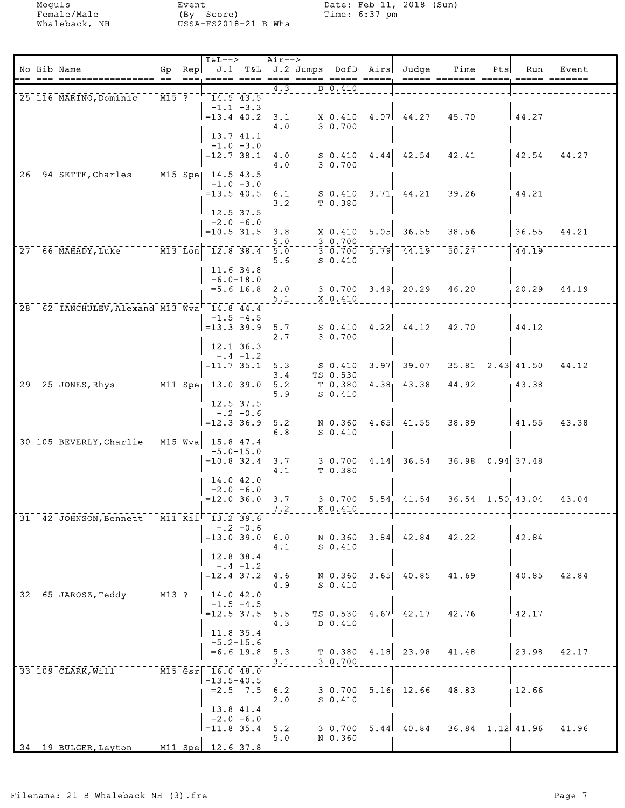|                 | No Bib Name                                                | $Gp$ Rep | <b>T&amp;L--&gt;</b>                |                              | $Air-->$         |                                                        |      | J.1 T&L J.2 Jumps DofD Airs Judge                                                                                                                             | Time                                | Pts | Run                    | Event |
|-----------------|------------------------------------------------------------|----------|-------------------------------------|------------------------------|------------------|--------------------------------------------------------|------|---------------------------------------------------------------------------------------------------------------------------------------------------------------|-------------------------------------|-----|------------------------|-------|
|                 |                                                            |          |                                     |                              |                  | ---- --  ---, ----- ----, ---- ----- ----- ----- ----- |      |                                                                                                                                                               | =====; ======= =====; ===== ======= |     |                        |       |
|                 |                                                            |          |                                     |                              | 4.3              | D 0.410                                                |      |                                                                                                                                                               |                                     |     |                        |       |
|                 | 25 116 MARINO, Dominic                                     | $M15$ ?  | $\overline{14.5}$ 43.5              | $-1.1 - 3.3$                 |                  |                                                        |      |                                                                                                                                                               |                                     |     |                        |       |
|                 |                                                            |          | $= 13.4 40.2$                       |                              | 3.1              |                                                        |      | $X$ 0.410 4.07 44.27                                                                                                                                          | 45.70                               |     | 44.27                  |       |
|                 |                                                            |          |                                     | 13.7 41.1                    | 4.0              | 3 0.700                                                |      |                                                                                                                                                               |                                     |     |                        |       |
|                 |                                                            |          |                                     | $-1.0 -3.0$                  |                  |                                                        |      |                                                                                                                                                               |                                     |     |                        |       |
|                 |                                                            |          | $=12.738.1$                         |                              | 4.0              |                                                        |      | $S$ 0.410 4.44 42.54                                                                                                                                          | 42.41                               |     | 42.54                  | 44.27 |
|                 | 26 94 SETTE, Charles M15 Spe 14.5 43.5                     |          |                                     |                              | 4.0              | 3 0.700                                                |      |                                                                                                                                                               |                                     |     |                        |       |
|                 |                                                            |          |                                     | $-1.0 -3.0$                  |                  |                                                        |      |                                                                                                                                                               |                                     |     |                        |       |
|                 |                                                            |          | $= 13.5$ 40.5                       |                              | 6.1<br>3.2       | T 0.380                                                |      | $S$ 0.410 3.71 44.21                                                                                                                                          | 39.26                               |     | 44.21                  |       |
|                 |                                                            |          |                                     | $12.5$ 37.5                  |                  |                                                        |      |                                                                                                                                                               |                                     |     |                        |       |
|                 |                                                            |          |                                     | $-2.0 - 6.0$                 |                  |                                                        |      |                                                                                                                                                               |                                     |     |                        |       |
|                 |                                                            |          | $=10.5$ 31.5                        |                              | 3.8<br>5.0       | X 0.410<br>3 0.700                                     |      | $5.05$ 36.55                                                                                                                                                  | 38.56                               |     | 36.55                  | 44.21 |
| 27              | 66 MAHADY, Luke M13 Lon 12.8 38.4                          |          |                                     |                              | 5.0              |                                                        |      | $\frac{1}{3}$ $\frac{1}{0}$ , $\frac{7}{0}$ $\frac{0}{0}$ $\frac{1}{0}$ $\frac{1}{5}$ , $\frac{1}{7}$ $\frac{1}{9}$ $\frac{1}{1}$ $\frac{1}{2}$ $\frac{1}{1}$ | $\overline{50.27}$                  |     | 44.19                  |       |
|                 |                                                            |          |                                     |                              | 5.6              | $S_0.410$                                              |      |                                                                                                                                                               |                                     |     |                        |       |
|                 |                                                            |          |                                     | 11.6 34.8<br>$-6.0 - 18.0$   |                  |                                                        |      |                                                                                                                                                               |                                     |     |                        |       |
|                 |                                                            |          |                                     |                              | $=5.6$ 16.8, 2.0 |                                                        |      | $3\ 0.700\ 3.49\ 20.29$                                                                                                                                       | 46.20                               |     | 20.29                  | 44.19 |
|                 | $281$ 62 IANCHULEV, Alexand M13 Wva <sup>1</sup> 14.8 44.4 |          |                                     |                              | 5.1              | X 0.410                                                |      |                                                                                                                                                               |                                     |     |                        |       |
|                 |                                                            |          |                                     | $-1.5 - 4.5$                 |                  |                                                        |      |                                                                                                                                                               |                                     |     |                        |       |
|                 |                                                            |          | $= 13.3$ 39.9                       |                              | 5.7              |                                                        |      | $S$ 0.410 4.22 44.12                                                                                                                                          | 42.70                               |     | $ 44.12\rangle$        |       |
|                 |                                                            |          |                                     | 12.1 36.3                    | 2.7              | 3 0.700                                                |      |                                                                                                                                                               |                                     |     |                        |       |
|                 |                                                            |          |                                     | $-.4 -1.2$                   |                  |                                                        |      |                                                                                                                                                               |                                     |     |                        |       |
|                 |                                                            |          | $=11.7$ 35.1                        |                              | 5.3<br>3.4       | S 0.410<br>TS 0.530                                    |      | $3.97$ 39.07                                                                                                                                                  |                                     |     | $35.81$ $2.43$ $41.50$ | 44.12 |
|                 | $29_1$ $25$ JONES, Rhys                                    |          |                                     |                              | 5.2              |                                                        |      | $T$ 0.380 4.38 43.38                                                                                                                                          | 44.92                               |     | 143.38                 |       |
|                 |                                                            |          |                                     |                              | 5.9              | $S_0.410$                                              |      |                                                                                                                                                               |                                     |     |                        |       |
|                 |                                                            |          |                                     | 12.5 37.5<br>$-.2 -0.6$      |                  |                                                        |      |                                                                                                                                                               |                                     |     |                        |       |
|                 |                                                            |          | $= 12.3$ 36.9                       |                              | 5.2              |                                                        |      | N 0.360 4.65 41.55                                                                                                                                            | 38.89                               |     | 41.55                  | 43.38 |
|                 | 30 105 BEVERLY, Charlie M15 Wva 15.8 47.4                  |          |                                     |                              | 6.8              | $S_0.410$                                              |      |                                                                                                                                                               |                                     |     |                        |       |
|                 |                                                            |          |                                     | $-5.0 - 15.0$                |                  |                                                        |      |                                                                                                                                                               |                                     |     |                        |       |
|                 |                                                            |          | $=10.8$ 32.4                        |                              | 3.7              | 3 0.700                                                |      | $4.14$ 36.54                                                                                                                                                  | $36.98$ 0.94 37.48                  |     |                        |       |
|                 |                                                            |          |                                     | 14.0 42.0                    | 4.1              | T <sub>0.380</sub>                                     |      |                                                                                                                                                               |                                     |     |                        |       |
|                 |                                                            |          |                                     | $-2.0 - 6.0$                 |                  |                                                        |      |                                                                                                                                                               |                                     |     |                        |       |
|                 |                                                            |          | $=12.0$ 36.0                        |                              | 3.7<br>7.2       | K 0.410                                                |      | $3\;\;0.700\;\;5.54\;\;41.54$                                                                                                                                 |                                     |     | $36.54$ 1.50 43.04     | 43.04 |
|                 | 31 <sup> </sup> 42 JOHNSON, Bennett                        |          | M11 Kil <sup>[</sup> 13.2 39.6]     |                              |                  |                                                        |      |                                                                                                                                                               |                                     |     |                        |       |
|                 |                                                            |          |                                     | $-.2 - 0.6$                  |                  |                                                        |      |                                                                                                                                                               |                                     |     |                        |       |
|                 |                                                            |          | $=13.0$ 39.0                        |                              | 6.0<br>4.1       | $S_0.410$                                              |      | N $0.360$ $3.84$ $42.84$                                                                                                                                      | 42.22                               |     | 42.84                  |       |
|                 |                                                            |          |                                     | 12.8 38.4                    |                  |                                                        |      |                                                                                                                                                               |                                     |     |                        |       |
|                 |                                                            |          | $= 12.4$ 37.2                       | $-.4 -1.2$                   | 4.6              |                                                        |      | N 0.360 3.65 40.85                                                                                                                                            | 41.69                               |     | 40.85                  | 42.84 |
|                 |                                                            |          |                                     |                              | 4.9              | $S_0.410$                                              |      |                                                                                                                                                               |                                     |     |                        |       |
| $\overline{32}$ | 65 JAROSZ, Teddy                                           | $M13$ ?  |                                     | 14.042.0                     |                  |                                                        |      |                                                                                                                                                               |                                     |     |                        |       |
|                 |                                                            |          | $=12.5$ 37.5                        | $-1.5 -4.5$                  | 5.5              | TS 0.530                                               |      | $4.67$ <sup><math>42.17</math></sup>                                                                                                                          | 42.76                               |     | 42.17                  |       |
|                 |                                                            |          |                                     |                              | 4.3              | D 0.410                                                |      |                                                                                                                                                               |                                     |     |                        |       |
|                 |                                                            |          |                                     | $11.8$ 35.4<br>$-5.2 - 15.6$ |                  |                                                        |      |                                                                                                                                                               |                                     |     |                        |       |
|                 |                                                            |          |                                     | $= 6.6 19.8$                 | 5.3              | T 0.380                                                | 4.18 | 23.98                                                                                                                                                         | 41.48                               |     | 23.98                  | 42.17 |
|                 |                                                            |          |                                     |                              | 3.1              | 3 0.700                                                |      |                                                                                                                                                               |                                     |     |                        |       |
|                 | 33 109 CLARK, Will                                         |          | M15 Gsr 16.0 48.0<br>$-13.5 - 40.5$ |                              |                  |                                                        |      |                                                                                                                                                               |                                     |     |                        |       |
|                 |                                                            |          |                                     | $= 2.5$ 7.5                  | 6.2              | 3 0.700                                                |      | $5.16$ 12.66                                                                                                                                                  | 48.83                               |     | 12.66                  |       |
|                 |                                                            |          |                                     | 13.8 41.4                    | 2.0              | $S_0.410$                                              |      |                                                                                                                                                               |                                     |     |                        |       |
|                 |                                                            |          |                                     | $-2.0 - 6.0$                 |                  |                                                        |      |                                                                                                                                                               |                                     |     |                        |       |
|                 |                                                            |          | $= 11.8$ 35.4                       |                              | 5.2              |                                                        |      | $3\;\;0.700\;\;5.44\;\;40.84$                                                                                                                                 |                                     |     | $36.84$ 1.12 41.96     | 41.96 |
| 34              | 19 BULGER, Leyton                                          |          | $\text{M11 Spe}$ 12.6 37.8          |                              | 5.0              | N 0.360                                                |      |                                                                                                                                                               |                                     |     |                        |       |
|                 |                                                            |          |                                     |                              |                  |                                                        |      |                                                                                                                                                               |                                     |     |                        |       |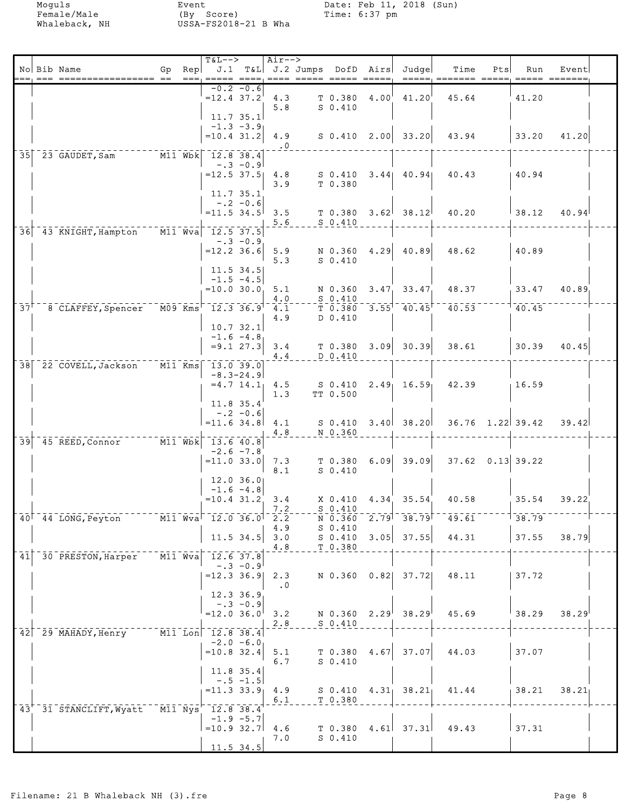|                 | No Bib Name                                       |  | $T&L-->$<br>===, ===== ====, ==== ===== ===== ===== |                          | $Air--$                |                                  |      | Gp Rep $J.1$ T&L J.2 Jumps DofD Airs Judge                                                | Time                       | Pts | Run                                          | Event<br>$\begin{tabular}{ll} \bf \textcolor{red}{\color{black}} \textcolor{red}{\color{black}} \textcolor{red}{\color{black}} \textcolor{red}{\color{black}} \textcolor{red}{\color{black}} \textcolor{red}{\color{black}} \textcolor{red}{\color{black}} \textcolor{red}{\color{black}} \textcolor{red}{\color{black}} \textcolor{red}{\color{black}} \textcolor{red}{\color{black}} \textcolor{red}{\color{black}} \textcolor{red}{\color{black}} \textcolor{red}{\color{black}} \textcolor{red}{\color{black}} \textcolor{red}{\color{black}} \textcolor{red}{\color{black}} \textcolor{red}{\color{black}} \textcolor{red}{\color{black}} \$ |  |
|-----------------|---------------------------------------------------|--|-----------------------------------------------------|--------------------------|------------------------|----------------------------------|------|-------------------------------------------------------------------------------------------|----------------------------|-----|----------------------------------------------|---------------------------------------------------------------------------------------------------------------------------------------------------------------------------------------------------------------------------------------------------------------------------------------------------------------------------------------------------------------------------------------------------------------------------------------------------------------------------------------------------------------------------------------------------------------------------------------------------------------------------------------------------|--|
|                 |                                                   |  | $=12.4$ 37.2<br>$11.7$ $35.1$                       | $-0.2 - 0.6$             | 4.3<br>5.8             | $T$ 0.380 4.00<br>$S_0.410$      |      | $41.20^{\circ}$                                                                           | 45.64                      |     | 41.20                                        |                                                                                                                                                                                                                                                                                                                                                                                                                                                                                                                                                                                                                                                   |  |
|                 |                                                   |  | $-1.3 -3.9$<br>$=10.4$ 31.2                         |                          | 4.9<br>$\cdot$ 0       |                                  |      | $S$ 0.410 2.00 33.20                                                                      | 43.94                      |     | 33.20                                        | 41.20                                                                                                                                                                                                                                                                                                                                                                                                                                                                                                                                                                                                                                             |  |
| 35 <sub>1</sub> | 23 GAUDET, Sam                                    |  | $\overline{M11}$ Wbk 12.8 38.4<br>$= 12.5$ 37.5 4.8 | $-.3 - 0.9$              | 3.9                    | T 0.380                          |      |                                                                                           | $S$ 0.410 3.44 40.94 40.43 |     | 140.94                                       |                                                                                                                                                                                                                                                                                                                                                                                                                                                                                                                                                                                                                                                   |  |
|                 |                                                   |  | 11.7 35.1<br>$-.2 -0.6$<br>$= 11.5$ 34.5            |                          | 3.5<br>5.6             | $S_0.410$                        |      | $T$ 0.380 3.62 38.12                                                                      | 40.20                      |     | $\begin{array}{c} \text{ }38.12 \end{array}$ | 40.94                                                                                                                                                                                                                                                                                                                                                                                                                                                                                                                                                                                                                                             |  |
|                 | 36 43 KNIGHT, Hampton M11 Wva 12.5 37.5           |  | $= 12.2$ 36.6                                       | $-.3 - 0.9$              | 5.9<br>5.3             | $S_0.410$                        |      | N $0.360$ 4.29 40.89                                                                      | 48.62                      |     | 40.89                                        |                                                                                                                                                                                                                                                                                                                                                                                                                                                                                                                                                                                                                                                   |  |
|                 |                                                   |  | $-1.5 -4.5$<br>$=10.0$ 30.0 5.1                     | $11.5$ 34.5              | 4.0                    | $S$ 0.410                        |      | N 0.360 3.47 33.47                                                                        | 48.37                      |     | 33.47                                        | 40.89                                                                                                                                                                                                                                                                                                                                                                                                                                                                                                                                                                                                                                             |  |
|                 | 37 - 8 CLAFFEY, Spencer M09 Kms 12.3 36.9         |  |                                                     | 10.732.1<br>$-1.6 - 4.8$ | 4.1<br>4.9             | D 0.410                          |      | $\bar{\tau}$ 0.380 $\bar{\phantom{a}}$ 3.55 $\bar{\phantom{a}}$ 40.45 $\bar{\phantom{a}}$ | $-40.53$                   |     | 40.45                                        |                                                                                                                                                                                                                                                                                                                                                                                                                                                                                                                                                                                                                                                   |  |
|                 | 38 22 COVELL, Jackson M11 Kms 13.0 39.0           |  |                                                     | $= 9.1$ 27.3             | 3.4<br>4.4             | D 0.410                          |      | $T$ 0.380 3.09 30.39                                                                      | 38.61                      |     | 30.39                                        | 40.45                                                                                                                                                                                                                                                                                                                                                                                                                                                                                                                                                                                                                                             |  |
|                 |                                                   |  | 11.8 35.4                                           | $-8.3 - 24.9$            | $=4.7$ 14.1 4.5<br>1.3 | TT 0.500                         |      |                                                                                           | $S$ 0.410 2.49 16.59 42.39 |     | 16.59                                        |                                                                                                                                                                                                                                                                                                                                                                                                                                                                                                                                                                                                                                                   |  |
|                 | 39 45 REED, Connor M11 Wbk 13.6 40.8              |  | $= 11.6$ 34.8                                       | $-.2 - 0.6$              | 4.1<br>4.8             | N 0.360                          |      | $S$ 0.410 3.40 38.20                                                                      | $36.76$ 1.22 39.42         |     |                                              | 39.42                                                                                                                                                                                                                                                                                                                                                                                                                                                                                                                                                                                                                                             |  |
|                 |                                                   |  | $= 11.0 33.0$<br>$12.0$ 36.0                        | $-2.6 - 7.8$             | 7.3<br>8.1             | $S_0.410$                        |      | $T$ 0.380 6.09 39.09                                                                      | $37.62$ 0.13 39.22         |     |                                              |                                                                                                                                                                                                                                                                                                                                                                                                                                                                                                                                                                                                                                                   |  |
|                 |                                                   |  | $-1.6 -4.8$<br>$=10.4$ 31.2 3.4                     |                          | 7.2                    | $S_0.410$                        |      |                                                                                           | $X$ 0.410 4.34 35.54 40.58 |     | 35.54                                        | 39.22                                                                                                                                                                                                                                                                                                                                                                                                                                                                                                                                                                                                                                             |  |
|                 | 40 44 LONG, Peyton M11 Wva 12.0 36.0 2.2          |  |                                                     | $11.5$ 34.5              | 4.9<br>3.0<br>4.8      | $S_0.410$<br>$S$ 0.410<br>T0.380 |      | $\bar{N}$ 0.360 $\bar{2}$ .79 $\bar{3}8.79$<br>$3.05$ 37.55                               | 49.61<br>44.31             |     | 38.79<br>37.55                               | 38.79                                                                                                                                                                                                                                                                                                                                                                                                                                                                                                                                                                                                                                             |  |
| 41              | $\overline{30}$ PRESTON, Harper M11 Wva 12.6 37.8 |  | $= 12.3$ 36.9                                       | $-.3 -0.9$               | 2.3<br>$\cdot$ .0      |                                  |      | N 0.360 0.82 37.72                                                                        | 48.11                      |     | 37.72                                        |                                                                                                                                                                                                                                                                                                                                                                                                                                                                                                                                                                                                                                                   |  |
|                 |                                                   |  | 12.3 36.9<br>$=12.0$ 36.0                           | $-.3 -0.9$               | 3.2<br>2.8             | $S_0.410$                        |      | N 0.360 $2.29^{\dagger}$ 38.29                                                            | 45.69                      |     | 38.29                                        | 38.29                                                                                                                                                                                                                                                                                                                                                                                                                                                                                                                                                                                                                                             |  |
|                 | 42 <sup>-</sup> 29 MAHADY, Henry 11 Ion 12.8 38.4 |  | $=10.8$ 32.4                                        | $-2.0 - 6.0$             | 5.1<br>6.7             | T <sub>0.380</sub><br>$S_0.410$  | 4.67 | 37.07                                                                                     | 44.03                      |     | 37.07                                        |                                                                                                                                                                                                                                                                                                                                                                                                                                                                                                                                                                                                                                                   |  |
|                 |                                                   |  | $11.8$ 35.4<br>$= 11.3$ 33.9 4.9                    | $-.5 - 1.5$              | 6.1                    | T 0.380                          |      | $S$ 0.410 4.31 38.21                                                                      | 41.44                      |     | 38.21                                        | 38.21                                                                                                                                                                                                                                                                                                                                                                                                                                                                                                                                                                                                                                             |  |
|                 | 43 31 STANCLIFT, Wyatt M11 Nys 12.8 38.4          |  | $=10.9$ 32.7 4.6                                    | $-1.9 - 5.7$             | 7.0                    | $S_0.410$                        |      | $T$ 0.380 4.61 37.31                                                                      | 49.43                      |     | 37.31                                        |                                                                                                                                                                                                                                                                                                                                                                                                                                                                                                                                                                                                                                                   |  |
|                 |                                                   |  |                                                     | $11.5$ 34.5              |                        |                                  |      |                                                                                           |                            |     |                                              |                                                                                                                                                                                                                                                                                                                                                                                                                                                                                                                                                                                                                                                   |  |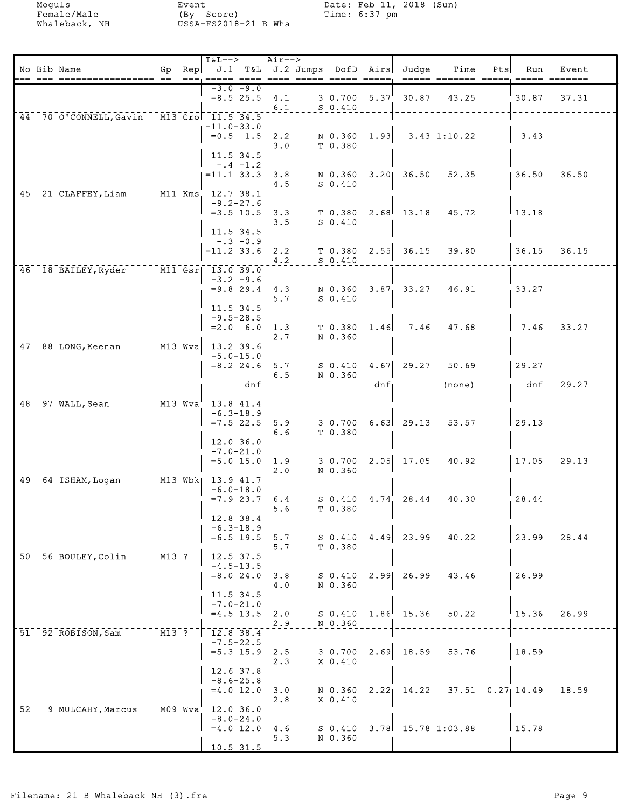|                 | No Bib Name<br>=== ================= == ===, ===== ====, ==== ===== ===== =====, | Gp Rep      | $T&L-->$<br>J.1 T&L J.2 Jumps DofD Airs Judge                                             | $Air--$    |                                 |         |                                       | Time<br>----- ------- ----- ---- ---- ----- | Pts | Run                      | Event  |
|-----------------|----------------------------------------------------------------------------------|-------------|-------------------------------------------------------------------------------------------|------------|---------------------------------|---------|---------------------------------------|---------------------------------------------|-----|--------------------------|--------|
|                 | 44 70 0'CONNELL, Gavin                                                           |             | $-3.0 - 9.0$<br>$= 8.5 25.5$<br>$\overline{M13}$ $\overline{C}$ ro $\overline{11.5}$ 34.5 | 4.1<br>6.1 | $S_0.410$                       |         | $3\,0.700\,5.37^\prime\,30.87^\prime$ | 43.25                                       |     | 30.87                    | 37.31' |
|                 |                                                                                  |             | $-11.0-33.0$<br>$= 0.5 \t 1.5$                                                            | 2.2<br>3.0 | $N$ 0.360 1.93<br>T 0.380       |         |                                       | 3.43   1:10.22                              |     | 3.43                     |        |
|                 |                                                                                  |             | 11.5 34.5<br>$-.4 -1.2$<br>$= 11.1$ 33.3                                                  | 3.8<br>4.5 | $S_0.410$                       |         | N 0.360 3.20 36.50                    | 52.35                                       |     | 36.50                    | 36.50  |
| 45              | $21$ $CLAFF$ $F$ $EY$ , $Liam$                                                   |             | M11 Kms 12.7 38.1<br>$-9.2 - 27.6$<br>$=3.5$ 10.5                                         | 3.3<br>3.5 | T <sub>0.380</sub><br>$S_0.410$ |         | $2.68$ 13.18                          | 45.72                                       |     | 13.18                    |        |
|                 |                                                                                  |             | $11.5$ 34.5<br>$-.3 - 0.9$<br>$= 11.2 33.6$                                               | 2.2<br>4.2 | $S$ 0.410                       |         | $T$ 0.380 2.55 36.15                  | 39.80                                       |     | 36.15                    | 36.15  |
|                 | 46 18 BAILEY, Ryder M11 Gsr 13.0 39.0                                            |             | $-3.2 - 9.6$<br>$= 9.829.4$<br>11.5 34.5                                                  | 4.3<br>5.7 | $S_0.410$                       |         | $N$ 0.360 3.87 33.27                  | 46.91                                       |     | 33.27                    |        |
|                 |                                                                                  |             | $-9.5 - 28.5$<br>$= 2.0 \t 6.0$                                                           | 1.3<br>2.7 | N 0.360                         |         | $T$ 0.380 1.46 7.46                   | 47.68                                       |     | 7.46                     | 33.27  |
| 47              | $\overline{88}$ LONG, Keenan $\overline{M13}$ Wva                                |             | $\begin{bmatrix} 13.2 & 39.6 \end{bmatrix}$<br>$-5.0-15.0^\circ$<br>$= 8.2$ 24.6 5.7      | 6.5        | S <sub>0.410</sub><br>N 0.360   |         | $4.67$ 29.27                          | 50.69                                       |     | 29.27                    |        |
|                 |                                                                                  |             | $dnf_1$                                                                                   |            |                                 | $dnf_1$ |                                       | (none)                                      |     | dnf                      | 29.27  |
| 48'             | 97 WALL, Sean                                                                    |             | $\overline{M13}$ Wva <sup>-13.8</sup> 41.4<br>$-6.3 - 18.9$<br>$=7.5$ 22.5<br>12.0 36.0   | 5.9<br>6.6 | T 0.380                         |         | $3\,0.700\,6.63\,29.13$               | 53.57                                       |     | 29.13                    |        |
|                 |                                                                                  |             | $-7.0 - 21.0$<br>$= 5.0 15.0$                                                             | 1.9<br>2.0 | N 0.360                         |         | $3 \t0.700 \t2.05 \t17.05$            | 40.92                                       |     | 17.05                    | 29.13  |
|                 | 49 64 ISHAM, Logan M13 Wbk 13.9 41.7                                             |             | $-6.0 - 18.0$<br>$=7.923.7$<br>$12.8$ 38.4                                                | 6.4<br>5.6 | T 0.380                         |         | $S$ 0.410 4.74 28.44                  | 40.30                                       |     | 28.44                    |        |
|                 |                                                                                  |             | $-6.3 - 18.9$<br>$= 6.5 19.5$                                                             | 5.7<br>5.7 | T 0.380                         |         | $S$ 0.410 4.49 23.99                  | 40.22                                       |     | 23.99                    | 28.44  |
| 50 <sub>1</sub> | 56 BOULEY, Colin M13 ?                                                           |             | 12.5 37.5<br>$-4.5 - 13.5$<br>$= 8.0 24.0$                                                | 3.8<br>4.0 | S <sub>0.410</sub><br>N 0.360   |         | $2.99$ $26.99$                        | 43.46                                       |     | 26.99                    |        |
|                 |                                                                                  |             | 11.5 34.5<br>$-7.0 - 21.0$<br>$= 4.5$ 13.5                                                | 2.0<br>2.9 | S 0.410<br>N 0.360              |         | $1.86^{+}$ 15.36                      | 50.22                                       |     | 15.36                    | 26.99  |
|                 | 51 92 ROBISON, Sam                                                               | $M13$ ?     | 12.8 38.4<br>$-7.5 - 22.5$<br>$= 5.3$ 15.9                                                | 2.5<br>2.3 | 3 0.700<br>X 0.410              | 2.69    | 18.59                                 | 53.76                                       |     | 18.59                    |        |
|                 |                                                                                  |             | 12.6 37.8<br>$-8.6 - 25.8$<br>$=4.0$ 12.0                                                 | 3.0<br>2.8 | N 0.360<br>X 0.410              |         | $2.22$ 14.22                          |                                             |     | $37.51 \quad 0.27$ 14.49 | 18.59  |
| $\bar{5}2^1$    | 9 MULCAHY, Marcus                                                                | $M09$ $Wva$ | $12.0$ 36.0<br>$-8.0 - 24.0$<br>$=4.0$ 12.0<br>$10.5$ 31.5                                | 4.6<br>5.3 | $S_0.410$<br>N 0.360            |         |                                       | $3.78$ 15.78 1:03.88                        |     | 15.78                    |        |